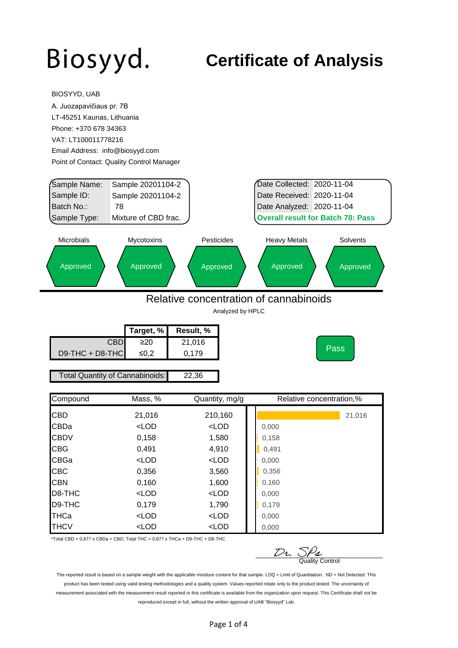BIOSYYD, UAB

#### **Certificate of Analysis**

|                                 | A. Juozapavičiaus pr. 7B                  |                                        |                                          |          |
|---------------------------------|-------------------------------------------|----------------------------------------|------------------------------------------|----------|
| LT-45251 Kaunas, Lithuania      |                                           |                                        |                                          |          |
| Phone: +370 678 34363           |                                           |                                        |                                          |          |
| VAT: LT100011778216             |                                           |                                        |                                          |          |
| Email Address: info@biosyyd.com |                                           |                                        |                                          |          |
|                                 | Point of Contact: Quality Control Manager |                                        |                                          |          |
|                                 |                                           |                                        |                                          |          |
| Sample Name:                    | Sample 20201104-2                         |                                        | Date Collected: 2020-11-04               |          |
| Sample ID:                      | Sample 20201104-2                         |                                        | Date Received: 2020-11-04                |          |
| Batch No.:                      | 78                                        |                                        | Date Analyzed: 2020-11-04                |          |
| Sample Type:                    | Mixture of CBD frac.                      |                                        | <b>Overall result for Batch 78: Pass</b> |          |
|                                 |                                           |                                        |                                          |          |
| <b>Microbials</b>               | Mycotoxins                                | Pesticides                             | <b>Heavy Metals</b>                      | Solvents |
|                                 |                                           |                                        |                                          |          |
| Approved                        | Approved                                  | Approved                               | Approved                                 | Approved |
|                                 |                                           |                                        |                                          |          |
|                                 |                                           |                                        |                                          |          |
|                                 |                                           | Relative concentration of cannabinoids |                                          |          |
|                                 |                                           | Analyzed by HPLC                       |                                          |          |
|                                 |                                           |                                        |                                          |          |
|                                 | Target, %                                 | Result, %                              |                                          |          |
|                                 | <b>CBD</b><br>$\geq 20$                   | 21,016                                 |                                          | Pass     |
| D9-THC + D8-THC                 | $≤0,2$                                    | 0,179                                  |                                          |          |
|                                 |                                           |                                        |                                          |          |
|                                 |                                           |                                        |                                          |          |
|                                 | Total Quantity of Cannabinoids:           | 22,36                                  |                                          |          |
|                                 |                                           |                                        |                                          |          |
| Compound                        | Mass, %                                   | Quantity, mg/g                         | Relative concentration,%                 |          |
| CBD                             |                                           |                                        |                                          |          |
| CBDa                            | 21,016<br>$<$ LOD                         | 210,160<br>$<$ LOD                     | 0,000                                    | 21,016   |
| CBDV                            |                                           |                                        |                                          |          |
|                                 | 0,158                                     | 1,580                                  | 0,158                                    |          |
| CBG<br>CBGa                     | 0,491<br>$<$ LOD                          | 4,910                                  | 0,491                                    |          |
| CBC                             | 0,356                                     | $<$ LOD<br>3,560                       | 0,000<br>0,356                           |          |
| <b>CBN</b>                      | 0,160                                     | 1,600                                  | 0,160                                    |          |
| D8-THC                          | $<$ LOD                                   | $<$ LOD                                | 0,000                                    |          |
| D9-THC                          | 0,179                                     | 1,790                                  | 0,179                                    |          |
| THCa                            | $<$ LOD                                   | $<$ LOD                                | 0,000                                    |          |

\*Total CBD =  $0,877$  x CBDa + CBD; Total THC =  $0,877$  x THCa + D9-THC + D8-THC

 $D_2$ ,  $S_2$ <br>Quality Control

The reported result is based on a sample weight with the applicable moisture content for that sample. LOQ = Limit of Quantitation. ND = Not Detected. This product has been tested using valid testing methodologies and a quality system. Values reported relate only to the product tested. The uncertainty of measurement associated with the measurement result reported in this certificate is available from the organization upon request. This Certificate shall not be reproduced except in full, without the written approval of UAB "Biosyyd" Lab.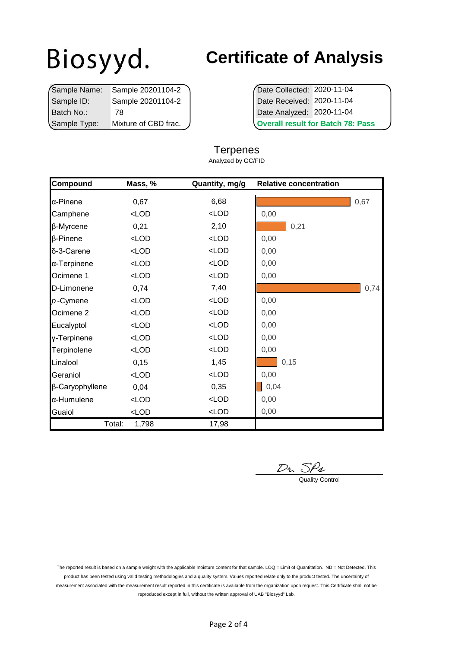|              | Sample Name: Sample 20201104-2 | Date Collected: 2020-11-04         |  |
|--------------|--------------------------------|------------------------------------|--|
| Sample ID:   | Sample 20201104-2              | Date Received: 2020-11-04          |  |
| Batch No.:   | 78                             | Date Analyzed: 2020-11-04          |  |
| Sample Type: | Mixture of CBD frac.           | <b>Overall result for Batch 78</b> |  |

### **Certificate of Analysis**

**Overall result for Batch 78: Pass** 

#### **Terpenes** Analyzed by GC/FID

| Compound             | Mass, %                                                                | Quantity, mg/g | <b>Relative concentration</b> |      |
|----------------------|------------------------------------------------------------------------|----------------|-------------------------------|------|
| <b>α-Pinene</b>      | 0,67                                                                   | 6,68           |                               | 0,67 |
| Camphene             | $<$ LOD                                                                | $<$ LOD        | 0,00                          |      |
| β-Myrcene            | 0,21                                                                   | 2,10           | 0,21                          |      |
| $\beta$ -Pinene      | $<$ LOD                                                                | $<$ LOD        | 0,00                          |      |
| δ-3-Carene           | $<$ LOD                                                                | $<$ LOD        | 0,00                          |      |
| α-Terpinene          | $<$ LOD                                                                | $<$ LOD        | 0,00                          |      |
| Ocimene 1            | $<$ LOD                                                                | $<$ LOD        | 0,00                          |      |
| D-Limonene           | 0,74                                                                   | 7,40           |                               | 0,74 |
| $p$ -Cymene          | $<$ LOD                                                                | $<$ LOD        | 0,00                          |      |
| Ocimene <sub>2</sub> | $<$ LOD                                                                | $<$ LOD        | 0,00                          |      |
| Eucalyptol           | $<$ LOD                                                                | $<$ LOD        | 0,00                          |      |
| y-Terpinene          | $<$ LOD                                                                | $<$ LOD        | 0,00                          |      |
| Terpinolene          | <lod< td=""><td><math>&lt;</math>LOD</td><td>0,00</td><td></td></lod<> | $<$ LOD        | 0,00                          |      |
| Linalool             | 0,15                                                                   | 1,45           | 0,15                          |      |
| Geraniol             | $<$ LOD                                                                | $<$ LOD        | 0,00                          |      |
| β-Caryophyllene      | 0,04                                                                   | 0,35           | 0,04                          |      |
| a-Humulene           | $<$ LOD                                                                | $<$ LOD        | 0,00                          |      |
| Guaiol               | $<$ LOD                                                                | $<$ LOD        | 0,00                          |      |
|                      | Total:<br>1,798                                                        | 17,98          |                               |      |

 $D_2$ .  $S_2$ <br>Quality Control

The reported result is based on a sample weight with the applicable moisture content for that sample. LOQ = Limit of Quantitation. ND = Not Detected. This product has been tested using valid testing methodologies and a quality system. Values reported relate only to the product tested. The uncertainty of measurement associated with the measurement result reported in this certificate is available from the organization upon request. This Certificate shall not be reproduced except in full, without the written approval of UAB "Biosyyd" Lab.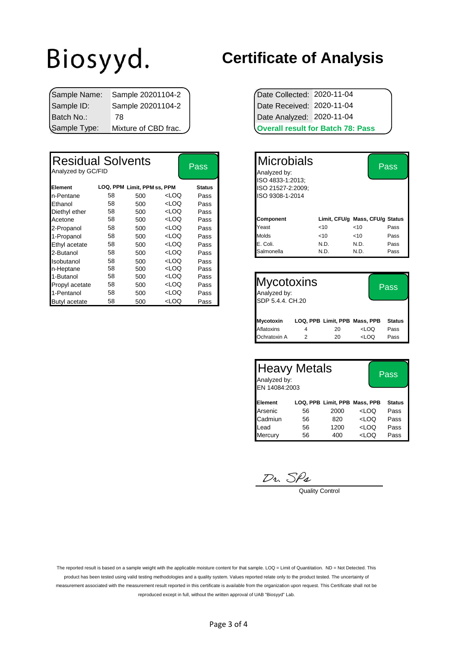|              | Sample Name: Sample 20201104-2 | Date Collected: 2020-11-04 |                                          |
|--------------|--------------------------------|----------------------------|------------------------------------------|
| Sample ID:   | Sample 20201104-2              | Date Received: 2020-11-04  |                                          |
| l Batch No.∶ | 78                             | Date Analyzed: 2020-11-04  |                                          |
| Sample Type: | Mixture of CBD frac.           |                            | <b>Overall result for Batch 78: Pass</b> |

| <b>Residual Solvents</b><br>Analyzed by GC/FID |    |                             |                                                                                                                     | <b>Pass</b>   | <b>Microbials</b><br>Analyzed by:<br>ISO 4833-1:2013; |      |      | <b>Pass</b>                     |
|------------------------------------------------|----|-----------------------------|---------------------------------------------------------------------------------------------------------------------|---------------|-------------------------------------------------------|------|------|---------------------------------|
| Element                                        |    | LOQ, PPM Limit, PPM ss, PPM |                                                                                                                     | <b>Status</b> | ISO 21527-2:2009;                                     |      |      |                                 |
| n-Pentane                                      | 58 | 500                         | <loq< td=""><td>Pass</td><td>ISO 9308-1-2014</td><td></td><td></td><td></td></loq<>                                 | Pass          | ISO 9308-1-2014                                       |      |      |                                 |
| Ethanol                                        | 58 | 500                         | <loq< td=""><td>Pass</td><td></td><td></td><td></td><td></td></loq<>                                                | Pass          |                                                       |      |      |                                 |
| Diethyl ether                                  | 58 | 500                         | <loq< td=""><td>Pass</td><td></td><td></td><td></td><td></td></loq<>                                                | Pass          |                                                       |      |      |                                 |
| Acetone                                        | 58 | 500                         | <loq< td=""><td>Pass</td><td><b>Component</b></td><td></td><td></td><td>Limit, CFU/g Mass, CFU/g Status</td></loq<> | Pass          | <b>Component</b>                                      |      |      | Limit, CFU/g Mass, CFU/g Status |
| 2-Propanol                                     | 58 | 500                         | <loq< td=""><td>Pass</td><td>Yeast</td><td>&lt; 10</td><td>&lt; 10</td><td>Pass</td></loq<>                         | Pass          | Yeast                                                 | < 10 | < 10 | Pass                            |
| 1-Propanol                                     | 58 | 500                         | <loq< td=""><td>Pass</td><td>Molds</td><td>&lt; 10</td><td>&lt; 10</td><td>Pass</td></loq<>                         | Pass          | Molds                                                 | < 10 | < 10 | Pass                            |
| Ethyl acetate                                  | 58 | 500                         | <loq< td=""><td>Pass</td><td>E. Coli.</td><td>N.D.</td><td>N.D.</td><td>Pass</td></loq<>                            | Pass          | E. Coli.                                              | N.D. | N.D. | Pass                            |
| 2-Butanol                                      | 58 | 500                         | <loq< td=""><td>Pass</td><td>Salmonella</td><td>N.D.</td><td>N.D.</td><td>Pass</td></loq<>                          | Pass          | Salmonella                                            | N.D. | N.D. | Pass                            |
| Isobutanol                                     | 58 | 500                         | <loq< td=""><td>Pass</td><td></td><td></td><td></td><td></td></loq<>                                                | Pass          |                                                       |      |      |                                 |
| n-Heptane                                      | 58 | 500                         | <loq< td=""><td>Pass</td><td></td><td></td><td></td><td></td></loq<>                                                | Pass          |                                                       |      |      |                                 |
| 1-Butanol                                      | 58 | 500                         | <loq< td=""><td>Pass</td><td></td><td></td><td></td><td></td></loq<>                                                | Pass          |                                                       |      |      |                                 |
| Propyl acetate                                 | 58 | 500                         | <loq< td=""><td>Pass</td><td><b>Mycotoxins</b></td><td></td><td></td><td>Pass</td></loq<>                           | Pass          | <b>Mycotoxins</b>                                     |      |      | Pass                            |
| 1-Pentanol                                     | 58 | 500                         | <loq< td=""><td>Pass</td><td>Analyzed by:</td><td></td><td></td><td></td></loq<>                                    | Pass          | Analyzed by:                                          |      |      |                                 |
| <b>Butyl</b> acetate                           | 58 | 500                         | <loq< td=""><td>Pass</td><td>SDP 5.4.4. CH.20</td><td></td><td></td><td></td></loq<>                                | Pass          | SDP 5.4.4. CH.20                                      |      |      |                                 |

#### **Certificate of Analysis**

| <b>Overall result for Batch 78: Pass</b> |  |  |  |  |  |
|------------------------------------------|--|--|--|--|--|
| Date Analyzed: 2020-11-04                |  |  |  |  |  |
| Date Received: 2020-11-04                |  |  |  |  |  |
| Date Collected: 2020-11-04               |  |  |  |  |  |

| <b>Pass</b>   | <b>IMicrobials</b><br>Analyzed by:    |        |                                 | $\overline{\mathrm{Pass}}$ |
|---------------|---------------------------------------|--------|---------------------------------|----------------------------|
| <b>Status</b> | ISO 4833-1:2013;<br>ISO 21527-2:2009; |        |                                 |                            |
| Pass          | ISO 9308-1-2014                       |        |                                 |                            |
| Pass          |                                       |        |                                 |                            |
| Pass          |                                       |        |                                 |                            |
| Pass          | <b>Component</b>                      |        | Limit, CFU/g Mass, CFU/g Status |                            |
| Pass          | Yeast                                 | < 10   | ~10                             | Pass                       |
| Pass          | <b>Molds</b>                          | $<$ 10 | $<$ 10                          | Pass                       |
| Pass          | E. Coli.                              | N.D.   | N.D.                            | Pass                       |
| Pass          | Salmonella                            | N.D.   | N.D.                            | Pass                       |
|               |                                       |        |                                 |                            |

| <b>Mycotoxins</b><br>Analyzed by:<br>SDP 5.4.4, CH.20 |   |                               |                                  | Pass.         |
|-------------------------------------------------------|---|-------------------------------|----------------------------------|---------------|
| Mycotoxin                                             |   | LOQ, PPB Limit, PPB Mass, PPB |                                  | <b>Status</b> |
| Aflatoxins                                            | 4 | 20                            | <loq< td=""><td>Pass</td></loq<> | Pass          |
| Ochratoxin A                                          |   | 20                            | <loq< td=""><td>Pass</td></loq<> | Pass          |

| <b>Heavy Metals</b><br>Analyzed by:<br>EN 14084:2003 |    | Pass                          |                                  |               |
|------------------------------------------------------|----|-------------------------------|----------------------------------|---------------|
| Element                                              |    | LOQ, PPB Limit, PPB Mass, PPB |                                  | <b>Status</b> |
| Arsenic                                              | 56 | 2000                          | LOO                              | Pass          |
| Cadmiun                                              | 56 | 820                           | <loq< td=""><td>Pass</td></loq<> | Pass          |
| Lead                                                 | 56 | 1200                          | <loq< td=""><td>Pass</td></loq<> | Pass          |
| Mercury                                              | 56 | 400                           | <loq< td=""><td>Pass</td></loq<> | Pass          |

 $\frac{D_2}{D_3}$  Quality Control

The reported result is based on a sample weight with the applicable moisture content for that sample. LOQ = Limit of Quantitation. ND = Not Detected. This product has been tested using valid testing methodologies and a quality system. Values reported relate only to the product tested. The uncertainty of measurement associated with the measurement result reported in this certificate is available from the organization upon request. This Certificate shall not be reproduced except in full, without the written approval of UAB "Biosyyd" Lab.